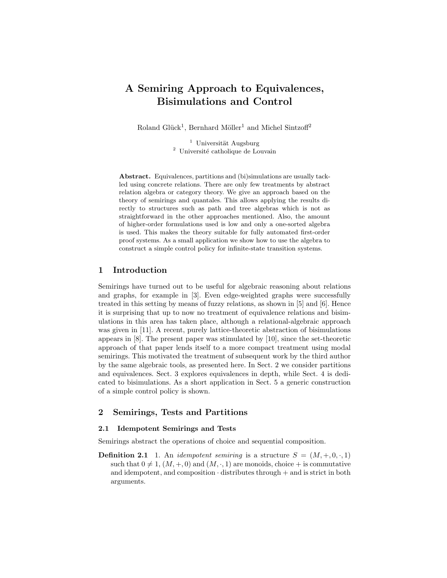# A Semiring Approach to Equivalences, Bisimulations and Control

Roland Glück<sup>1</sup>, Bernhard Möller<sup>1</sup> and Michel Sintzoff<sup>2</sup>

 $<sup>1</sup>$  Universität Augsburg</sup> <sup>2</sup> Université catholique de Louvain

Abstract. Equivalences, partitions and (bi)simulations are usually tackled using concrete relations. There are only few treatments by abstract relation algebra or category theory. We give an approach based on the theory of semirings and quantales. This allows applying the results directly to structures such as path and tree algebras which is not as straightforward in the other approaches mentioned. Also, the amount of higher-order formulations used is low and only a one-sorted algebra is used. This makes the theory suitable for fully automated first-order proof systems. As a small application we show how to use the algebra to construct a simple control policy for infinite-state transition systems.

# 1 Introduction

Semirings have turned out to be useful for algebraic reasoning about relations and graphs, for example in [3]. Even edge-weighted graphs were successfully treated in this setting by means of fuzzy relations, as shown in [5] and [6]. Hence it is surprising that up to now no treatment of equivalence relations and bisimulations in this area has taken place, although a relational-algebraic approach was given in [11]. A recent, purely lattice-theoretic abstraction of bisimulations appears in [8]. The present paper was stimulated by [10], since the set-theoretic approach of that paper lends itself to a more compact treatment using modal semirings. This motivated the treatment of subsequent work by the third author by the same algebraic tools, as presented here. In Sect. 2 we consider partitions and equivalences. Sect. 3 explores equivalences in depth, while Sect. 4 is dedicated to bisimulations. As a short application in Sect. 5 a generic construction of a simple control policy is shown.

# 2 Semirings, Tests and Partitions

## 2.1 Idempotent Semirings and Tests

Semirings abstract the operations of choice and sequential composition.

**Definition 2.1** 1. An *idempotent semiring* is a structure  $S = (M, +, 0, \cdot, 1)$ such that  $0 \neq 1$ ,  $(M, +, 0)$  and  $(M, \cdot, 1)$  are monoids, choice + is commutative and idempotent, and composition  $\cdot$  distributes through  $+$  and is strict in both arguments.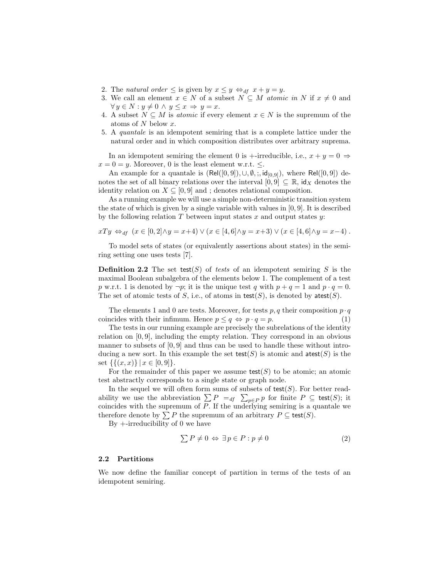- 2. The natural order  $\leq$  is given by  $x \leq y \Leftrightarrow_{df} x + y = y$ .
- 3. We call an element  $x \in N$  of a subset  $N \subseteq M$  atomic in N if  $x \neq 0$  and  $\forall y \in N : y \neq 0 \land y \leq x \Rightarrow y = x.$
- 4. A subset  $N \subseteq M$  is *atomic* if every element  $x \in N$  is the supremum of the atoms of N below x.
- 5. A quantale is an idempotent semiring that is a complete lattice under the natural order and in which composition distributes over arbitrary suprema.

In an idempotent semiring the element 0 is +-irreducible, i.e.,  $x + y = 0 \Rightarrow$  $x = 0 = y$ . Moreover, 0 is the least element w.r.t.  $\leq$ .

An example for a quantale is  $(Rel([0, 9]), \cup, \emptyset, ;, id_{[0, 9]})$ , where Rel $([0, 9])$  denotes the set of all binary relations over the interval  $[0, 9] \subseteq \mathbb{R}$ , id<sub>X</sub> denotes the identity relation on  $X \subseteq [0, 9]$  and; denotes relational composition.

As a running example we will use a simple non-deterministic transition system the state of which is given by a single variable with values in [0, 9]. It is described by the following relation  $T$  between input states  $x$  and output states  $y$ :

$$
xTy \Leftrightarrow_{df} (x \in [0,2] \wedge y = x+4) \vee (x \in [4,6] \wedge y = x+3) \vee (x \in [4,6] \wedge y = x-4).
$$

To model sets of states (or equivalently assertions about states) in the semiring setting one uses tests [7].

**Definition 2.2** The set test(S) of tests of an idempotent semiring S is the maximal Boolean subalgebra of the elements below 1. The complement of a test p w.r.t. 1 is denoted by  $\neg p$ ; it is the unique test q with  $p + q = 1$  and  $p \cdot q = 0$ . The set of atomic tests of S, i.e., of atoms in  $test(S)$ , is denoted by  $atest(S)$ .

The elements 1 and 0 are tests. Moreover, for tests p, q their composition  $p \cdot q$ coincides with their infimum. Hence  $p \leq q \Leftrightarrow p \cdot q = p$ . (1)

The tests in our running example are precisely the subrelations of the identity relation on [0, 9], including the empty relation. They correspond in an obvious manner to subsets of [0, 9] and thus can be used to handle these without introducing a new sort. In this example the set  $\text{test}(S)$  is atomic and  $\text{atest}(S)$  is the set  $\{\{(x, x)\} | x \in [0, 9]\}.$ 

For the remainder of this paper we assume  $\textsf{test}(S)$  to be atomic; an atomic test abstractly corresponds to a single state or graph node.

In the sequel we will often form sums of subsets of  $test(S)$ . For better readability we use the abbreviation  $\sum P =_{df} \sum_{p \in P} p$  for finite  $P \subseteq \text{test}(S)$ ; it coincides with the supremum of P. If the underlying semiring is a quantale we therefore denote by  $\sum P$  the supremum of an arbitrary  $P \subseteq \text{test}(S)$ .

By +-irreducibility of 0 we have

$$
\sum P \neq 0 \Leftrightarrow \exists p \in P : p \neq 0 \tag{2}
$$

#### 2.2 Partitions

We now define the familiar concept of partition in terms of the tests of an idempotent semiring.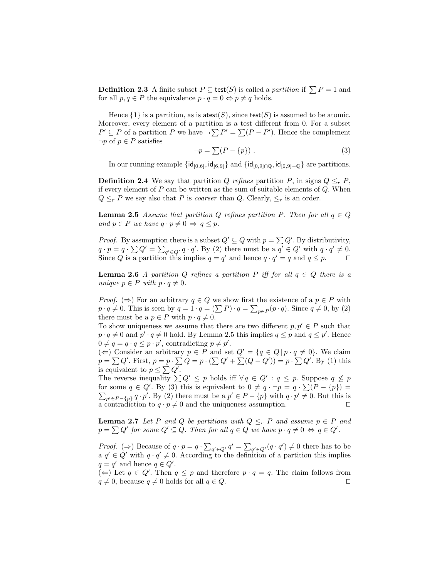**Definition 2.3** A finite subset  $P \subseteq \text{test}(S)$  is called a *partition* if  $\sum P = 1$  and for all  $p, q \in P$  the equivalence  $p \cdot q = 0 \Leftrightarrow p \neq q$  holds.

Hence  $\{1\}$  is a partition, as is atest(S), since test(S) is assumed to be atomic. Moreover, every element of a partition is a test different from 0. For a subset  $P' \subseteq P$  of a partition P we have  $\neg \sum P' = \sum (P - P')$ . Hence the complement  $\neg p$  of  $p \in P$  satisfies

$$
\neg p = \sum (P - \{p\}) . \tag{3}
$$

In our running example  $\{id_{[0,6]}, id_{[6,9]}\}$  and  $\{id_{[0,9]\cap\mathbb{Q}}, id_{[0,9]-\mathbb{Q}}\}$  are partitions.

**Definition 2.4** We say that partition Q refines partition P, in signs  $Q \leq_r P$ , if every element of  $P$  can be written as the sum of suitable elements of  $Q$ . When  $Q \leq_r P$  we say also that P is *coarser* than Q. Clearly,  $\leq_r$  is an order.

**Lemma 2.5** Assume that partition Q refines partition P. Then for all  $q \in Q$ and  $p \in P$  we have  $q \cdot p \neq 0 \Rightarrow q \leq p$ .

*Proof.* By assumption there is a subset  $Q' \subseteq Q$  with  $p = \sum Q'$ . By distributivity,  $q \cdot p = q \cdot \sum Q' = \sum_{q' \in Q'} q \cdot q'.$  By (2) there must be a  $q' \in Q'$  with  $q \cdot q' \neq 0$ . Since Q is a partition this implies  $q = q'$  and hence  $q \cdot q' = q$  and  $q \leq p$ .

**Lemma 2.6** A partition Q refines a partition P iff for all  $q \in Q$  there is a unique  $p \in P$  with  $p \cdot q \neq 0$ .

*Proof.* ( $\Rightarrow$ ) For an arbitrary  $q \in Q$  we show first the existence of a  $p \in P$  with  $p \cdot q \neq 0$ . This is seen by  $q = 1 \cdot q = (\sum P) \cdot q = \sum_{p \in P} (p \cdot q)$ . Since  $q \neq 0$ , by (2) there must be a  $p \in P$  with  $p \cdot q \neq 0$ .

To show uniqueness we assume that there are two different  $p, p' \in P$  such that  $p \cdot q \neq 0$  and  $p' \cdot q \neq 0$  hold. By Lemma 2.5 this implies  $q \leq p$  and  $q \leq p'$ . Hence  $0 \neq q = q \cdot q \leq p \cdot p'$ , contradicting  $p \neq p'$ .

(←) Consider an arbitrary  $p \in P$  and set  $Q' = \{q \in Q \mid p \cdot q \neq 0\}$ . We claim  $p = \sum Q'$ . First,  $p = p \cdot \sum Q = p \cdot (\sum Q' + \sum (Q - Q')) = p \cdot \sum Q'$ . By (1) this is equivalent to  $p \leq \sum Q'$ .

The reverse inequality  $\sum Q' \leq p$  holds iff  $\forall q \in Q' : q \leq p$ . Suppose  $q \not\leq p$ for some  $q \in Q'$ . By (3) this is equivalent to  $0 \neq q \cdot \neg p = q \cdot \sum (P - \{p\}) =$  $\sum_{p' \in P - \{p\}} q \cdot p'$ . By (2) there must be a  $p' \in P - \{p\}$  with  $q \cdot p' \neq 0$ . But this is a contradiction to  $q \cdot p \neq 0$  and the uniqueness assumption.

**Lemma 2.7** Let P and Q be partitions with  $Q \leq_r P$  and assume  $p \in P$  and  $p = \sum Q'$  for some  $Q' \subseteq Q$ . Then for all  $q \in Q$  we have  $p \cdot q \neq 0 \Leftrightarrow q \in Q'$ .

*Proof.* ( $\Rightarrow$ ) Because of  $q \cdot p = q \cdot \sum_{q' \in Q'} q' = \sum_{q' \in Q'} (q \cdot q') \neq 0$  there has to be a  $q' \in Q'$  with  $q \cdot q' \neq 0$ . According to the definition of a partition this implies  $q = q'$  and hence  $q \in Q'$ .

(←) Let  $q \in Q'$ . Then  $q \leq p$  and therefore  $p \cdot q = q$ . The claim follows from  $q \neq 0$ , because  $q \neq 0$  holds for all  $q \in Q$ .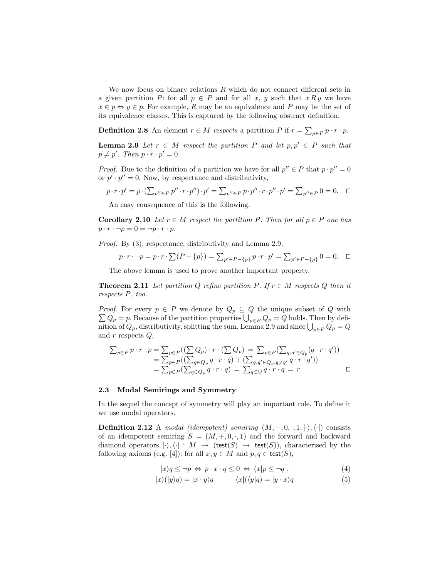We now focus on binary relations  $R$  which do not connect different sets in a given partition P: for all  $p \in P$  and for all x, y such that  $x R y$  we have  $x \in p \Leftrightarrow y \in p$ . For example, R may be an equivalence and P may be the set of its equivalence classes. This is captured by the following abstract definition.

**Definition 2.8** An element  $r \in M$  respects a partition P if  $r = \sum_{p \in P} p \cdot r \cdot p$ .

**Lemma 2.9** Let  $r \in M$  respect the partition P and let  $p, p' \in P$  such that  $p \neq p'$ . Then  $p \cdot r \cdot p' = 0$ .

*Proof.* Due to the definition of a partition we have for all  $p'' \in P$  that  $p \cdot p'' = 0$ or  $p' \cdot p'' = 0$ . Now, by respectance and distributivity,

$$
p \cdot r \cdot p' = p \cdot \left( \sum_{p'' \in P} p'' \cdot r \cdot p'' \right) \cdot p' = \sum_{p'' \in P} p \cdot p'' \cdot r \cdot p'' \cdot p' = \sum_{p'' \in P} 0 = 0. \quad \Box
$$

An easy consequence of this is the following.

**Corollary 2.10** Let  $r \in M$  respect the partition P. Then for all  $p \in P$  one has  $p \cdot r \cdot \neg p = 0 = \neg p \cdot r \cdot p.$ 

Proof. By (3), respectance, distributivity and Lemma 2.9,

$$
p \cdot r \cdot \neg p = p \cdot r \cdot \sum (P - \{p\}) = \sum_{p' \in P - \{p\}} p \cdot r \cdot p' = \sum_{p' \in P - \{p\}} 0 = 0. \quad \Box
$$

The above lemma is used to prove another important property.

**Theorem 2.11** Let partition Q refine partition P. If  $r \in M$  respects Q then it respects P, too.

*Proof.* For every  $p \in P$  we denote by  $Q_p \subseteq Q$  the unique subset of Q with  $\sum Q_p = p$ . Because of the partition properties  $\bigcup_{p \in P} Q_p = Q$  holds. Then by definition of  $Q_p$ , distributivity, splitting the sum, Lemma 2.9 and since  $\bigcup_{p \in P} Q_p = Q$ and  $r$  respects  $Q$ ,

$$
\sum_{p \in P} p \cdot r \cdot p = \sum_{p \in P} ((\sum Q_p) \cdot r \cdot (\sum Q_p) = \sum_{p \in P} (\sum_{q,q' \in Q_p} (q \cdot r \cdot q'))
$$
  
= 
$$
\sum_{p \in P} ((\sum_{q \in Q_p} q \cdot r \cdot q) + (\sum_{q,q' \in Q_p, q \neq q'} q \cdot r \cdot q'))
$$
  
= 
$$
\sum_{p \in P} (\sum_{q \in Q_p} q \cdot r \cdot q) = \sum_{q \in Q} q \cdot r \cdot q = r
$$

## 2.3 Modal Semirings and Symmetry

In the sequel the concept of symmetry will play an important role. To define it we use modal operators.

**Definition 2.12** A modal (idempotent) semiring  $(M, +, 0, \cdot, 1, |\cdot\rangle, \langle\cdot|)$  consists of an idempotent semiring  $S = (M, +, 0, \cdot, 1)$  and the forward and backward diamond operators  $|\cdot\rangle$ ,  $\langle \cdot | : M \rightarrow$  (test(S)  $\rightarrow$  test(S)), characterised by the following axioms (e.g. [4]): for all  $x, y \in M$  and  $p, q \in \text{test}(S)$ ,

$$
|x\rangle q \leq \neg p \Leftrightarrow p \cdot x \cdot q \leq 0 \Leftrightarrow \langle x|p \leq \neg q , \qquad (4)
$$

$$
|x\rangle(|y\rangle q) = |x \cdot y\rangle q \qquad \langle x|(\langle y|q) = |y \cdot x\rangle q \qquad (5)
$$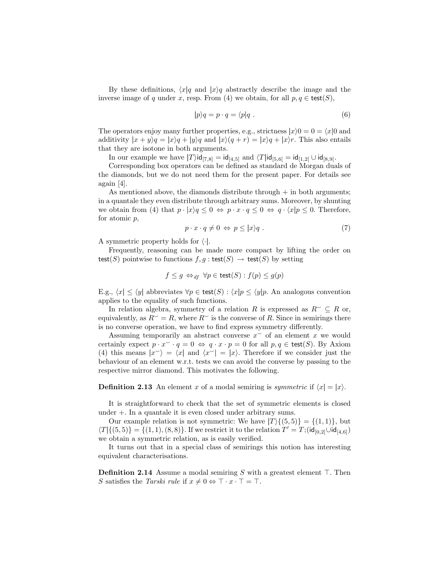By these definitions,  $\langle x|q$  and  $|x\rangle q$  abstractly describe the image and the inverse image of q under x, resp. From (4) we obtain, for all  $p, q \in \text{test}(S)$ ,

$$
|p\rangle q = p \cdot q = \langle p|q. \tag{6}
$$

The operators enjoy many further properties, e.g., strictness  $|x\rangle 0 = 0 = \langle x|0 \rangle$  and additivity  $|x + y\rangle q = |x\rangle q + |y\rangle q$  and  $|x\rangle (q + r) = |x\rangle q + |x\rangle r$ . This also entails that they are isotone in both arguments.

In our example we have  $|T\rangle id_{[7,8]} = id_{[4,5]}$  and  $\langle T | id_{[5,6]} = id_{[1,2]} \cup id_{[8,9]}$ .

Corresponding box operators can be defined as standard de Morgan duals of the diamonds, but we do not need them for the present paper. For details see again [4].

As mentioned above, the diamonds distribute through  $+$  in both arguments; in a quantale they even distribute through arbitrary sums. Moreover, by shunting we obtain from (4) that  $p \cdot |x\rangle q \leq 0 \Leftrightarrow p \cdot x \cdot q \leq 0 \Leftrightarrow q \cdot \langle x|p \leq 0$ . Therefore, for atomic p,

$$
p \cdot x \cdot q \neq 0 \Leftrightarrow p \leq |x\rangle q . \tag{7}
$$

A symmetric property holds for  $\langle \cdot |$ .

Frequently, reasoning can be made more compact by lifting the order on test(S) pointwise to functions  $f, g : \text{test}(S) \to \text{test}(S)$  by setting

$$
f \le g \Leftrightarrow_{df} \forall p \in \text{test}(S) : f(p) \le g(p)
$$

E.g.,  $\langle x | \leq \langle y |$  abbreviates  $\forall p \in \text{test}(S) : \langle x | p \leq \langle y | p$ . An analogous convention applies to the equality of such functions.

In relation algebra, symmetry of a relation R is expressed as  $R\degree\subseteq R$  or, equivalently, as  $R^{\sim} = R$ , where  $R^{\sim}$  is the converse of R. Since in semirings there is no converse operation, we have to find express symmetry differently.

Assuming temporarily an abstract converse  $x^{\smile}$  of an element x we would certainly expect  $p \cdot x^{\smile} \cdot q = 0 \Leftrightarrow q \cdot x \cdot p = 0$  for all  $p, q \in \text{test}(S)$ . By Axiom (4) this means  $|x^{\sim}\rangle = \langle x |$  and  $\langle x^{\sim}| = |x\rangle$ . Therefore if we consider just the behaviour of an element w.r.t. tests we can avoid the converse by passing to the respective mirror diamond. This motivates the following.

#### **Definition 2.13** An element x of a modal semiring is symmetric if  $\langle x | = |x\rangle$ .

It is straightforward to check that the set of symmetric elements is closed under +. In a quantale it is even closed under arbitrary sums.

Our example relation is not symmetric: We have  $|T\rangle\{(5, 5)\} = \{(1, 1)\}\$ , but  $\langle T | \{(5,5)\} = \{(1,1),(8,8)\}.$  If we restrict it to the relation  $T' = T; (id_{[0,2]} \cup id_{[4,6]})$ we obtain a symmetric relation, as is easily verified.

It turns out that in a special class of semirings this notion has interesting equivalent characterisations.

**Definition 2.14** Assume a modal semiring S with a greatest element  $\top$ . Then S satisfies the Tarski rule if  $x \neq 0 \Leftrightarrow \top \cdot x \cdot \top = \top$ .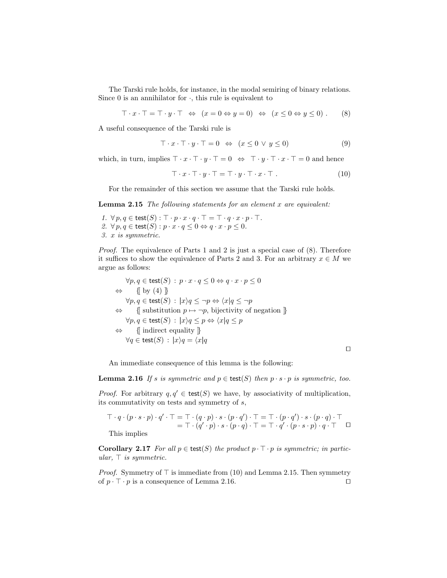The Tarski rule holds, for instance, in the modal semiring of binary relations. Since 0 is an annihilator for  $\cdot$ , this rule is equivalent to

 $\top \cdot x \cdot \top = \top \cdot y \cdot \top \Leftrightarrow (x = 0 \Leftrightarrow y = 0) \Leftrightarrow (x \leq 0 \Leftrightarrow y \leq 0).$  (8)

A useful consequence of the Tarski rule is

$$
\top \cdot x \cdot \top \cdot y \cdot \top = 0 \Leftrightarrow (x \le 0 \lor y \le 0)
$$
\n<sup>(9)</sup>

which, in turn, implies  $\top \cdot x \cdot \top \cdot y \cdot \top = 0 \Leftrightarrow \top \cdot y \cdot \top \cdot x \cdot \top = 0$  and hence

$$
\top \cdot x \cdot \top \cdot y \cdot \top = \top \cdot y \cdot \top \cdot x \cdot \top . \tag{10}
$$

For the remainder of this section we assume that the Tarski rule holds.

**Lemma 2.15** The following statements for an element  $x$  are equivalent:

1.  $\forall p, q \in \text{test}(S) : \top \cdot p \cdot x \cdot q \cdot \top = \top \cdot q \cdot x \cdot p \cdot \top$ . 2.  $\forall p, q \in \text{test}(S) : p \cdot x \cdot q \leq 0 \Leftrightarrow q \cdot x \cdot p \leq 0.$ 3. x is symmetric.

Proof. The equivalence of Parts 1 and 2 is just a special case of (8). Therefore it suffices to show the equivalence of Parts 2 and 3. For an arbitrary  $x \in M$  we argue as follows:

$$
\forall p, q \in \text{test}(S) : p \cdot x \cdot q \leq 0 \Leftrightarrow q \cdot x \cdot p \leq 0
$$
  
\n
$$
\Leftrightarrow \{ \text{ by (4)} \}
$$
  
\n
$$
\forall p, q \in \text{test}(S) : |x\rangle q \leq \neg p \Leftrightarrow \langle x|q \leq \neg p
$$
  
\n
$$
\Leftrightarrow \{ \text{ substitution } p \mapsto \neg p, \text{ bijectivity of negation } \}
$$
  
\n
$$
\forall p, q \in \text{test}(S) : |x\rangle q \leq p \Leftrightarrow \langle x|q \leq p
$$
  
\n
$$
\Leftrightarrow \{ \text{ indirect equality } \}
$$
  
\n
$$
\forall q \in \text{test}(S) : |x\rangle q = \langle x|q
$$

 $\Box$ 

An immediate consequence of this lemma is the following:

**Lemma 2.16** If s is symmetric and  $p \in \text{test}(S)$  then  $p \cdot s \cdot p$  is symmetric, too.

*Proof.* For arbitrary  $q, q' \in \text{test}(S)$  we have, by associativity of multiplication, its commutativity on tests and symmetry of s,

$$
\top \cdot q \cdot (p \cdot s \cdot p) \cdot q' \cdot \top = \top \cdot (q \cdot p) \cdot s \cdot (p \cdot q') \cdot \top = \top \cdot (p \cdot q') \cdot s \cdot (p \cdot q) \cdot \top
$$
\n
$$
= \top \cdot (q' \cdot p) \cdot s \cdot (p \cdot q) \cdot \top = \top \cdot q' \cdot (p \cdot s \cdot p) \cdot q \cdot \top \square
$$

This implies

Corollary 2.17 For all  $p \in \text{test}(S)$  the product  $p \cdot \top \cdot p$  is symmetric; in particular,  $\top$  is symmetric.

*Proof.* Symmetry of  $\top$  is immediate from (10) and Lemma 2.15. Then symmetry of  $p \cdot \top \cdot p$  is a consequence of Lemma 2.16.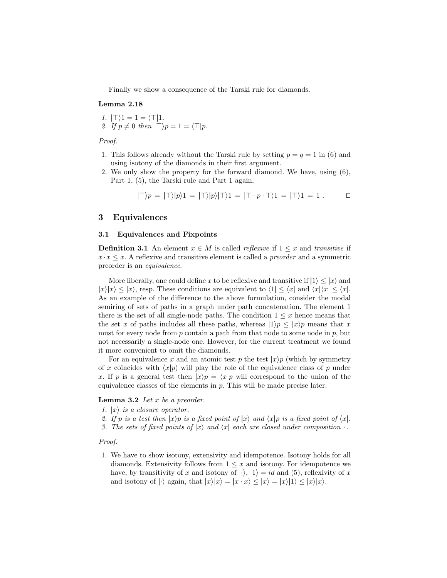Finally we show a consequence of the Tarski rule for diamonds.

#### Lemma 2.18

1. 
$$
|\top\rangle 1 = 1 = \langle \top | 1.
$$
  
2. If  $p \neq 0$  then  $|\top\rangle p = 1 = \langle \top | p.$ 

Proof.

- 1. This follows already without the Tarski rule by setting  $p = q = 1$  in (6) and using isotony of the diamonds in their first argument.
- 2. We only show the property for the forward diamond. We have, using (6), Part 1, (5), the Tarski rule and Part 1 again,

$$
|\top\rangle p = |\top\rangle |p\rangle 1 = |\top\rangle |p\rangle |\top\rangle 1 = |\top \cdot p \cdot \top\rangle 1 = |\top\rangle 1 = 1.
$$

## 3 Equivalences

#### 3.1 Equivalences and Fixpoints

**Definition 3.1** An element  $x \in M$  is called *reflexive* if  $1 \leq x$  and *transitive* if  $x \cdot x \leq x$ . A reflexive and transitive element is called a *preorder* and a symmetric preorder is an equivalence.

More liberally, one could define x to be reflexive and transitive if  $|1\rangle \leq |x\rangle$  and  $|x\rangle|x\rangle \leq |x\rangle$ , resp. These conditions are equivalent to  $\langle 1| \leq \langle x|$  and  $\langle x|\langle x| \leq \langle x|$ . As an example of the difference to the above formulation, consider the modal semiring of sets of paths in a graph under path concatenation. The element 1 there is the set of all single-node paths. The condition  $1 \leq x$  hence means that the set x of paths includes all these paths, whereas  $|1\rangle p \leq |x\rangle p$  means that x must for every node from  $p$  contain a path from that node to some node in  $p$ , but not necessarily a single-node one. However, for the current treatment we found it more convenient to omit the diamonds.

For an equivalence x and an atomic test p the test  $|x\rangle p$  (which by symmetry of x coincides with  $\langle x|p \rangle$  will play the role of the equivalence class of p under x. If p is a general test then  $|x\rangle p = \langle x|p$  will correspond to the union of the equivalence classes of the elements in p. This will be made precise later.

#### **Lemma 3.2** Let  $x$  be a preorder.

- 1.  $|x\rangle$  is a closure operator.
- 2. If p is a test then  $|x\rangle p$  is a fixed point of  $|x\rangle$  and  $\langle x|p$  is a fixed point of  $\langle x|$ .
- 3. The sets of fixed points of  $|x\rangle$  and  $\langle x|$  each are closed under composition  $\cdot$ .

Proof.

1. We have to show isotony, extensivity and idempotence. Isotony holds for all diamonds. Extensivity follows from  $1 \leq x$  and isotony. For idempotence we have, by transitivity of x and isotony of  $|\cdot\rangle$ ,  $|1\rangle = id$  and (5), reflexivity of x and isotony of  $|\cdot\rangle$  again, that  $|x\rangle|x\rangle = |x \cdot x\rangle \leq |x\rangle = |x\rangle|1\rangle \leq |x\rangle|x\rangle$ .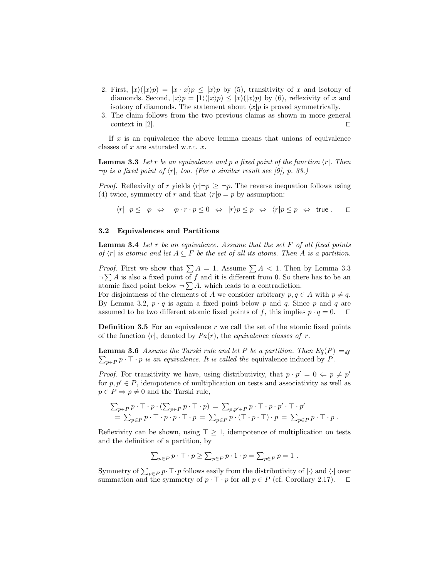- 2. First,  $|x\rangle(|x\rangle p) = |x \cdot x\rangle p \le |x\rangle p$  by (5), transitivity of x and isotony of diamonds. Second,  $|x\rangle p = |1\rangle (|x\rangle p) \le |x\rangle (|x\rangle p)$  by (6), reflexivity of x and isotony of diamonds. The statement about  $\langle x|p$  is proved symmetrically.
- 3. The claim follows from the two previous claims as shown in more general context in [2].  $\Box$

If  $x$  is an equivalence the above lemma means that unions of equivalence classes of  $x$  are saturated w.r.t.  $x$ .

**Lemma 3.3** Let r be an equivalence and p a fixed point of the function  $\langle r|$ . Then  $\neg p$  is a fixed point of  $\langle r|$ , too. (For a similar result see [9], p. 33.)

*Proof.* Reflexivity of r yields  $\langle r| \neg p \geq \neg p$ . The reverse inequation follows using (4) twice, symmetry of r and that  $\langle r|p = p$  by assumption:

 $\langle r|\neg p \leq \neg p \Leftrightarrow \neg p \cdot r \cdot p \leq 0 \Leftrightarrow |r\rangle p \leq p \Leftrightarrow \langle r|p \leq p \Leftrightarrow \text{true}.$ 

## 3.2 Equivalences and Partitions

**Lemma 3.4** Let  $r$  be an equivalence. Assume that the set  $F$  of all fixed points of  $\langle r |$  is atomic and let  $A \subseteq F$  be the set of all its atoms. Then A is a partition.

*Proof.* First we show that  $\sum A = 1$ . Assume  $\sum A < 1$ . Then by Lemma 3.3  $\neg \sum A$  is also a fixed point of f and it is different from 0. So there has to be an atomic fixed point below  $\neg \sum A$ , which leads to a contradiction.

For disjointness of the elements of A we consider arbitrary  $p, q \in A$  with  $p \neq q$ . By Lemma 3.2,  $p \cdot q$  is again a fixed point below p and q. Since p and q are assumed to be two different atomic fixed points of f, this implies  $p \cdot q = 0$ .  $\Box$ 

**Definition 3.5** For an equivalence  $r$  we call the set of the atomic fixed points of the function  $\langle r|$ , denoted by  $Pa(r)$ , the *equivalence classes of r*.

 $\sum_{p \in P} p \cdot \top \cdot p$  is an equivalence. It is called the equivalence induced by P. **Lemma 3.6** Assume the Tarski rule and let P be a partition. Then  $Eq(P) =_{df}$ 

*Proof.* For transitivity we have, using distributivity, that  $p \cdot p' = 0 \Leftarrow p \neq p'$ for  $p, p' \in P$ , idempotence of multiplication on tests and associativity as well as  $p \in P \Rightarrow p \neq 0$  and the Tarski rule,

$$
\sum_{p \in P} p \cdot \top \cdot p \cdot (\sum_{p \in P} p \cdot \top \cdot p) = \sum_{p, p' \in P} p \cdot \top \cdot p \cdot p' \cdot \top \cdot p'
$$
  
= 
$$
\sum_{p \in P} p \cdot \top \cdot p \cdot p \cdot \top \cdot p = \sum_{p \in P} p \cdot (\top \cdot p \cdot \top) \cdot p = \sum_{p \in P} p \cdot \top \cdot p.
$$

Reflexivity can be shown, using  $\top \geq 1$ , idempotence of multiplication on tests and the definition of a partition, by

$$
\sum_{p \in P} p \cdot \top \cdot p \ge \sum_{p \in P} p \cdot 1 \cdot p = \sum_{p \in P} p = 1.
$$

Symmetry of  $\sum_{p\in P} p \cdot \top \cdot p$  follows easily from the distributivity of  $|\cdot\rangle$  and  $\langle \cdot |$  over summation and the symmetry of  $p \cdot \top \cdot p$  for all  $p \in P$  (cf. Corollary 2.17).  $\Box$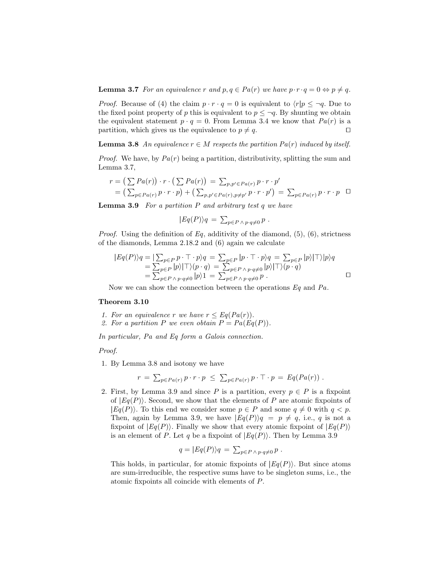**Lemma 3.7** For an equivalence r and  $p, q \in Pa(r)$  we have  $p \cdot r \cdot q = 0 \Leftrightarrow p \neq q$ .

*Proof.* Because of (4) the claim  $p \cdot r \cdot q = 0$  is equivalent to  $\langle r|p \leq \neg q$ . Due to the fixed point property of p this is equivalent to  $p \leq \neg q$ . By shunting we obtain the equivalent statement  $p \cdot q = 0$ . From Lemma 3.4 we know that  $Pa(r)$  is a partition, which gives us the equivalence to  $p \neq q$ .

**Lemma 3.8** An equivalence  $r \in M$  respects the partition  $Pa(r)$  induced by itself.

*Proof.* We have, by  $Pa(r)$  being a partition, distributivity, splitting the sum and Lemma 3.7,

$$
r = (\sum Pa(r)) \cdot r \cdot (\sum Pa(r)) = \sum_{p,p' \in Pa(r)} p \cdot r \cdot p'
$$
  
=  $(\sum_{p \in Pa(r)} p \cdot r \cdot p) + (\sum_{p,p' \in Pa(r), p \neq p'} p \cdot r \cdot p') = \sum_{p \in Pa(r)} p \cdot r \cdot p \quad \Box$ 

**Lemma 3.9** For a partition  $P$  and arbitrary test  $q$  we have

$$
|Eq(P)\rangle q = \sum_{p \in P \land p \cdot q \neq 0} p.
$$

*Proof.* Using the definition of Eq, additivity of the diamond,  $(5)$ ,  $(6)$ , strictness of the diamonds, Lemma 2.18.2 and (6) again we calculate

$$
|Eq(P)\rangle q = |\sum_{p\in P} p \cdot \top \cdot p\rangle q = \sum_{p\in P} |p \cdot \top \cdot p\rangle q = \sum_{p\in P} |p\rangle |\top\rangle |p\rangle q
$$
  
= 
$$
\sum_{p\in P} |p\rangle |\top\rangle (p \cdot q) = \sum_{p\in P \land p \cdot q \neq 0} |p\rangle |\top\rangle (p \cdot q)
$$
  
= 
$$
\sum_{p\in P \land p \cdot q \neq 0} |p\rangle 1 = \sum_{p\in P \land p \cdot q \neq 0} p.
$$

Now we can show the connection between the operations  $Eq$  and  $Pa$ .

## Theorem 3.10

1. For an equivalence r we have  $r \leq Eq(Pa(r))$ .

2. For a partition P we even obtain  $P = Pa(Eq(P)).$ 

In particular, Pa and Eq form a Galois connection.

Proof.

1. By Lemma 3.8 and isotony we have

$$
r = \sum_{p \in Pa(r)} p \cdot r \cdot p \leq \sum_{p \in Pa(r)} p \cdot \top \cdot p = Eq(Pa(r)) .
$$

2. First, by Lemma 3.9 and since P is a partition, every  $p \in P$  is a fixpoint of  $|Eq(P)\rangle$ . Second, we show that the elements of P are atomic fixpoints of  $|Eq(P)\rangle$ . To this end we consider some  $p \in P$  and some  $q \neq 0$  with  $q < p$ . Then, again by Lemma 3.9, we have  $|Eq(P)\rangle q = p \neq q$ , i.e., q is not a fixpoint of  $|Eq(P)\rangle$ . Finally we show that every atomic fixpoint of  $|Eq(P)\rangle$ is an element of P. Let q be a fixpoint of  $|Eq(P)\rangle$ . Then by Lemma 3.9

$$
q = |Eq(P)\rangle q = \sum_{p \in P \land p \cdot q \neq 0} p.
$$

This holds, in particular, for atomic fixpoints of  $|Eq(P)\rangle$ . But since atoms are sum-irreducible, the respective sums have to be singleton sums, i.e., the atomic fixpoints all coincide with elements of P.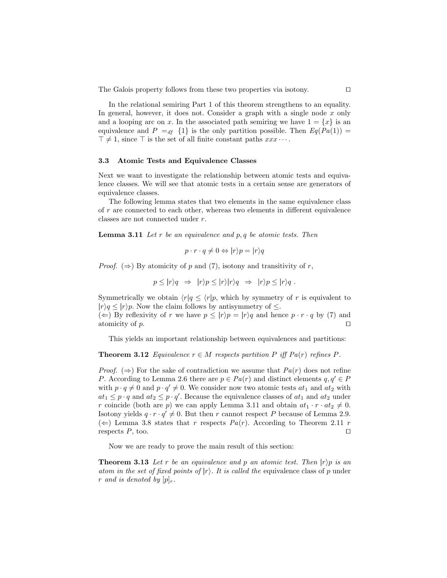The Galois property follows from these two properties via isotony.  $\Box$ 

In the relational semiring Part 1 of this theorem strengthens to an equality. In general, however, it does not. Consider a graph with a single node  $x$  only and a looping arc on x. In the associated path semiring we have  $1 = \{x\}$  is an equivalence and  $P =_{df} \{1\}$  is the only partition possible. Then  $Eq(Pa(1)) =$  $\top \neq 1$ , since  $\top$  is the set of all finite constant paths  $xxx \cdots$ .

## 3.3 Atomic Tests and Equivalence Classes

Next we want to investigate the relationship between atomic tests and equivalence classes. We will see that atomic tests in a certain sense are generators of equivalence classes.

The following lemma states that two elements in the same equivalence class of r are connected to each other, whereas two elements in different equivalence classes are not connected under r.

**Lemma 3.11** Let r be an equivalence and p, q be atomic tests. Then

$$
p \cdot r \cdot q \neq 0 \Leftrightarrow |r\rangle p = |r\rangle q
$$

*Proof.* ( $\Rightarrow$ ) By atomicity of p and (7), isotony and transitivity of r,

$$
p \le |r\rangle q \Rightarrow |r\rangle p \le |r\rangle |r\rangle q \Rightarrow |r\rangle p \le |r\rangle q
$$
.

Symmetrically we obtain  $\langle r|q \leq \langle r|p$ , which by symmetry of r is equivalent to  $|r\rangle q \leq |r\rangle p$ . Now the claim follows by antisymmetry of  $\leq$ .

(←) By reflexivity of r we have  $p \leq |r\rangle p = |r\rangle q$  and hence  $p \cdot r \cdot q$  by (7) and atomicity of  $p$ .

This yields an important relationship between equivalences and partitions:

**Theorem 3.12** Equivalence  $r \in M$  respects partition P iff  $Pa(r)$  refines P.

*Proof.* ( $\Rightarrow$ ) For the sake of contradiction we assume that  $Pa(r)$  does not refine P. According to Lemma 2.6 there are  $p \in Pa(r)$  and distinct elements  $q, q' \in P$ with  $p \cdot q \neq 0$  and  $p \cdot q' \neq 0$ . We consider now two atomic tests  $at_1$  and  $at_2$  with  $at_1 \leq p \cdot q$  and  $at_2 \leq p \cdot q'$ . Because the equivalence classes of  $at_1$  and  $at_2$  under r coincide (both are p) we can apply Lemma 3.11 and obtain  $at_1 \cdot r \cdot at_2 \neq 0$ . Isotony yields  $q \cdot r \cdot q' \neq 0$ . But then r cannot respect P because of Lemma 2.9. (  $\Leftarrow$ ) Lemma 3.8 states that r respects Pa(r). According to Theorem 2.11 r respects  $P$ , too.  $\Box$ 

Now we are ready to prove the main result of this section:

**Theorem 3.13** Let r be an equivalence and p an atomic test. Then  $|r\rangle p$  is an atom in the set of fixed points of  $|r\rangle$ . It is called the equivalence class of p under r and is denoted by  $[p]_r$ .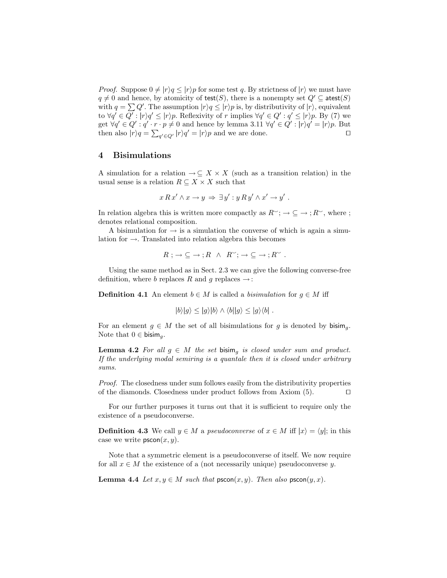*Proof.* Suppose  $0 \neq |r\rangle q \leq |r\rangle p$  for some test q. By strictness of  $|r\rangle$  we must have  $q \neq 0$  and hence, by atomicity of test(S), there is a nonempty set  $Q' \subseteq \text{atest}(S)$ with  $q = \sum Q'$ . The assumption  $|r \rangle q \leq |r \rangle p$  is, by distributivity of  $|r \rangle$ , equivalent to  $\forall q' \in Q': |r\rangle q' \leq |r\rangle p$ . Reflexivity of r implies  $\forall q' \in Q': q' \leq |r\rangle p$ . By (7) we get  $\forall q' \in Q' : q' \cdot r \cdot p \neq 0$  and hence by lemma 3.11  $\forall q' \in Q' : |r \rangle q' = |r \rangle p$ . But then also  $|r\rangle q = \sum_{q' \in Q'} |r\rangle q' = |r\rangle p$  and we are done.

# 4 Bisimulations

A simulation for a relation  $\rightarrow \subseteq X \times X$  (such as a transition relation) in the usual sense is a relation  $R \subseteq X \times X$  such that

$$
x R x' \wedge x \to y \Rightarrow \exists y' : y R y' \wedge x' \to y' .
$$

In relation algebra this is written more compactly as  $R^{\sim}$ ;  $\rightarrow \subseteq \rightarrow$ ;  $R^{\sim}$ , where ; denotes relational composition.

A bisimulation for  $\rightarrow$  is a simulation the converse of which is again a simulation for  $\rightarrow$ . Translated into relation algebra this becomes

$$
R \, ; \, \rightarrow \subseteq \rightarrow \, ; R \ \land \ R^{\sim} ; \, \rightarrow \subseteq \rightarrow \, ; R^{\sim} \ .
$$

Using the same method as in Sect. 2.3 we can give the following converse-free definition, where b replaces R and q replaces  $\rightarrow$ :

**Definition 4.1** An element  $b \in M$  is called a *bisimulation* for  $g \in M$  iff

$$
|b\rangle|g\rangle \le |g\rangle|b\rangle \wedge \langle b||g\rangle \le |g\rangle\langle b|.
$$

For an element  $g \in M$  the set of all bisimulations for g is denoted by bisim<sub>a</sub>. Note that  $0 \in \mathsf{bisim}_a$ .

**Lemma 4.2** For all  $g \in M$  the set bisim<sub>a</sub> is closed under sum and product. If the underlying modal semiring is a quantale then it is closed under arbitrary sums.

Proof. The closedness under sum follows easily from the distributivity properties of the diamonds. Closedness under product follows from Axiom  $(5)$ .  $\Box$ 

For our further purposes it turns out that it is sufficient to require only the existence of a pseudoconverse.

**Definition 4.3** We call  $y \in M$  a *pseudoconverse* of  $x \in M$  iff  $|x\rangle = \langle y|$ ; in this case we write  $p<sub>score</sub>(x, y)$ .

Note that a symmetric element is a pseudoconverse of itself. We now require for all  $x \in M$  the existence of a (not necessarily unique) pseudoconverse y.

**Lemma 4.4** Let  $x, y \in M$  such that  $p \infty(n, y)$ . Then also  $p \infty(n, x)$ .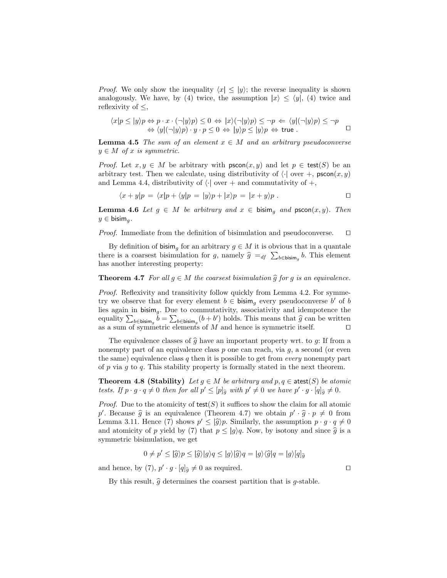*Proof.* We only show the inequality  $\langle x | \leq |y\rangle$ ; the reverse inequality is shown analogously. We have, by (4) twice, the assumption  $|x\rangle \leq \langle y|, (4)$  twice and reflexivity of  $\leq$ ,

$$
\langle x|p \le |y\rangle p \Leftrightarrow p \cdot x \cdot (\neg|y\rangle p) \le 0 \Leftrightarrow |x\rangle (\neg|y\rangle p) \le \neg p \Leftrightarrow \langle y|(\neg|y\rangle p) \le \neg p
$$
  

$$
\Leftrightarrow \langle y|(\neg|y\rangle p) \cdot y \cdot p \le 0 \Leftrightarrow |y\rangle p \le |y\rangle p \Leftrightarrow \text{true}.
$$

**Lemma 4.5** The sum of an element  $x \in M$  and an arbitrary pseudoconverse  $y \in M$  of x is symmetric.

*Proof.* Let  $x, y \in M$  be arbitrary with  $p \in \text{reco}(x, y)$  and let  $p \in \text{test}(S)$  be an arbitrary test. Then we calculate, using distributivity of  $\langle \cdot |$  over  $+$ , pscon $(x, y)$ and Lemma 4.4, distributivity of  $\langle \cdot |$  over + and commutativity of +,

$$
\langle x+y|p\rangle = \langle x|p+\langle y|p\rangle = |y\rangle p + |x\rangle p = |x+y\rangle p . \Box
$$

**Lemma 4.6** Let  $g \in M$  be arbitrary and  $x \in \text{bisim}_{g}$  and  $\text{pscon}(x, y)$ . Then  $y \in \mathsf{bisim}_g$ .

*Proof.* Immediate from the definition of bisimulation and pseudoconverse.  $\Box$ 

By definition of bisim<sub>a</sub> for an arbitrary  $g \in M$  it is obvious that in a quantale there is a coarsest bisimulation for g, namely  $\hat{g} =_{df} \sum_{b \in \text{bisim}_g} b$ . This element has another interesting property:

**Theorem 4.7** For all  $q \in M$  the coarsest bisimulation  $\hat{q}$  for g is an equivalence.

Proof. Reflexivity and transitivity follow quickly from Lemma 4.2. For symmetry we observe that for every element  $b \in \mathsf{b}$ isim<sub>g</sub> every pseudoconverse  $b'$  of  $b$ lies again in  $bisim_q$ . Due to commutativity, associativity and idempotence the equality  $\sum_{b \in \text{bisim}_g} b = \sum_{b \in \text{bisim}_g} (b + b')$  holds. This means that  $\hat{g}$  can be written as a sum of symmetric elements of M and hence is symmetric itself.

The equivalence classes of  $\hat{q}$  have an important property wrt. to q: If from a nonempty part of an equivalence class  $p$  one can reach, via  $q$ , a second (or even the same) equivalence class q then it is possible to get from *every* nonempty part of p via q to q. This stability property is formally stated in the next theorem.

**Theorem 4.8 (Stability)** Let  $g \in M$  be arbitrary and  $p, q \in \text{atest}(S)$  be atomic tests. If  $p \cdot g \cdot q \neq 0$  then for all  $p' \leq [p]_g$  with  $p' \neq 0$  we have  $p' \cdot g \cdot [q]_g \neq 0$ .

*Proof.* Due to the atomicity of test(S) it suffices to show the claim for all atomic p'. Because  $\hat{g}$  is an equivalence (Theorem 4.7) we obtain  $p' \cdot \hat{g} \cdot p \neq 0$  from Lemma 3.11. Hence (7) shows  $p' \leq |\hat{g}\rangle p$ . Similarly, the assumption  $p \cdot g \cdot q \neq 0$ and atomicity of p yield by (7) that  $p \le |g\rangle q$ . Now, by isotony and since  $\hat{g}$  is a symmetric bisimulation, we get

$$
0 \neq p' \leq |\widehat{g}\rangle p \leq |\widehat{g}\rangle|g\rangle q \leq |g\rangle|\widehat{g}\rangle q = |g\rangle\langle\widehat{g}|q = |g\rangle[q]\widehat{g}
$$

and hence, by (7),  $p' \cdot g \cdot [q]_{\widehat{g}} \neq 0$  as required.

By this result,  $\hat{q}$  determines the coarsest partition that is *q*-stable.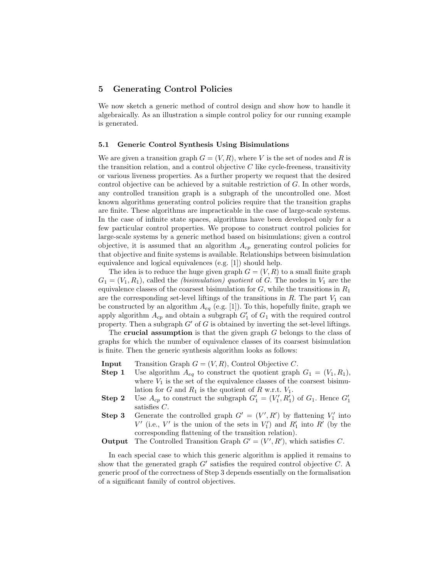# 5 Generating Control Policies

We now sketch a generic method of control design and show how to handle it algebraically. As an illustration a simple control policy for our running example is generated.

#### 5.1 Generic Control Synthesis Using Bisimulations

We are given a transition graph  $G = (V, R)$ , where V is the set of nodes and R is the transition relation, and a control objective  $C$  like cycle-freeness, transitivity or various liveness properties. As a further property we request that the desired control objective can be achieved by a suitable restriction of  $G$ . In other words, any controlled transition graph is a subgraph of the uncontrolled one. Most known algorithms generating control policies require that the transition graphs are finite. These algorithms are impracticable in the case of large-scale systems. In the case of infinite state spaces, algorithms have been developed only for a few particular control properties. We propose to construct control policies for large-scale systems by a generic method based on bisimulations; given a control objective, it is assumed that an algorithm  $A_{cp}$  generating control policies for that objective and finite systems is available. Relationships between bisimulation equivalence and logical equivalences (e.g. [1]) should help.

The idea is to reduce the huge given graph  $G = (V, R)$  to a small finite graph  $G_1 = (V_1, R_1)$ , called the *(bisimulation)* quotient of G. The nodes in  $V_1$  are the equivalence classes of the coarsest bisimulation for  $G$ , while the transitions in  $R_1$ are the corresponding set-level liftings of the transitions in  $R$ . The part  $V_1$  can be constructed by an algorithm  $A_{eq}$  (e.g. [1]). To this, hopefully finite, graph we apply algorithm  $A_{cp}$  and obtain a subgraph  $G'_1$  of  $G_1$  with the required control property. Then a subgraph  $G'$  of G is obtained by inverting the set-level liftings.

The **crucial assumption** is that the given graph  $G$  belongs to the class of graphs for which the number of equivalence classes of its coarsest bisimulation is finite. Then the generic synthesis algorithm looks as follows:

- **Input** Transition Graph  $G = (V, R)$ , Control Objective C.
- **Step 1** Use algorithm  $A_{eq}$  to construct the quotient graph  $G_1 = (V_1, R_1)$ , where  $V_1$  is the set of the equivalence classes of the coarsest bisimulation for G and  $R_1$  is the quotient of R w.r.t.  $V_1$ .
- **Step 2** Use  $A_{cp}$  to construct the subgraph  $G'_{1} = (V'_{1}, R'_{1})$  of  $G_{1}$ . Hence  $G'_{1}$ satisfies C.
- **Step 3** Generate the controlled graph  $G' = (V', R')$  by flattening  $V'_1$  into  $V'$  (i.e.,  $V'$  is the union of the sets in  $V'_1$ ) and  $R'_1$  into  $R'$  (by the corresponding flattening of the transition relation).
- **Output** The Controlled Transition Graph  $G' = (V', R')$ , which satisfies C.

In each special case to which this generic algorithm is applied it remains to show that the generated graph  $G'$  satisfies the required control objective  $C$ . A generic proof of the correctness of Step 3 depends essentially on the formalisation of a significant family of control objectives.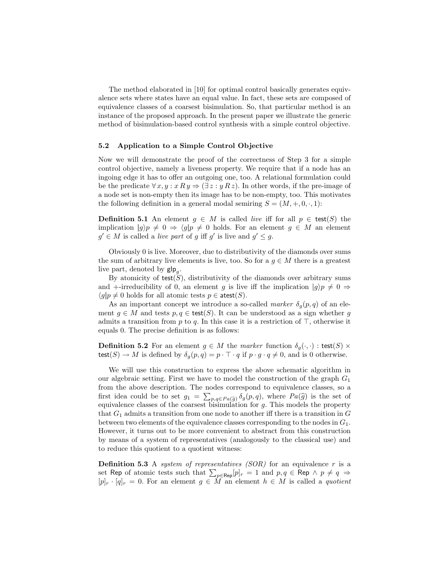The method elaborated in [10] for optimal control basically generates equivalence sets where states have an equal value. In fact, these sets are composed of equivalence classes of a coarsest bisimulation. So, that particular method is an instance of the proposed approach. In the present paper we illustrate the generic method of bisimulation-based control synthesis with a simple control objective.

#### 5.2 Application to a Simple Control Objective

Now we will demonstrate the proof of the correctness of Step 3 for a simple control objective, namely a liveness property. We require that if a node has an ingoing edge it has to offer an outgoing one, too. A relational formulation could be the predicate  $\forall x, y : x R y \Rightarrow (\exists z : y R z)$ . In other words, if the pre-image of a node set is non-empty then its image has to be non-empty, too. This motivates the following definition in a general modal semiring  $S = (M, +, 0, \cdot, 1)$ :

**Definition 5.1** An element  $g \in M$  is called *live* iff for all  $p \in \text{test}(S)$  the implication  $|g\rangle p \neq 0 \Rightarrow \langle g|p \neq 0 \rangle$  holds. For an element  $g \in M$  an element  $g' \in M$  is called a *live part* of g iff g' is live and  $g' \leq g$ .

Obviously 0 is live. Moreover, due to distributivity of the diamonds over sums the sum of arbitrary live elements is live, too. So for a  $g \in M$  there is a greatest live part, denoted by  $\mathsf{glp}_g$ .

By atomicity of test $(S)$ , distributivity of the diamonds over arbitrary sums and +-irreducibility of 0, an element g is live iff the implication  $|g\rangle p \neq 0 \Rightarrow$  $\langle g|p \neq 0$  holds for all atomic tests  $p \in \text{atest}(S)$ .

As an important concept we introduce a so-called marker  $\delta_q(p,q)$  of an element  $g \in M$  and tests  $p, q \in \text{test}(S)$ . It can be understood as a sign whether g admits a transition from p to q. In this case it is a restriction of  $\top$ , otherwise it equals 0. The precise definition is as follows:

**Definition 5.2** For an element  $g \in M$  the marker function  $\delta_g(\cdot, \cdot)$ : test(S)  $\times$ test(S)  $\rightarrow$  M is defined by  $\delta_q(p,q) = p \cdot \top \cdot q$  if  $p \cdot g \cdot q \neq 0$ , and is 0 otherwise.

We will use this construction to express the above schematic algorithm in our algebraic setting. First we have to model the construction of the graph  $G_1$ from the above description. The nodes correspond to equivalence classes, so a first idea could be to set  $g_1 = \sum_{p,q \in Pa(\hat{g})} \delta_g(p,q)$ , where  $Pa(\hat{g})$  is the set of equivalence classes of the coarsest bisimulation for g. This models the property that  $G_1$  admits a transition from one node to another iff there is a transition in  $G$ between two elements of the equivalence classes corresponding to the nodes in  $G_1$ . However, it turns out to be more convenient to abstract from this construction by means of a system of representatives (analogously to the classical use) and to reduce this quotient to a quotient witness:

**Definition 5.3** A system of representatives  $(SOR)$  for an equivalence r is a set Rep of atomic tests such that  $\sum_{p\in \mathsf{Rep}}[p]_r = 1$  and  $p,q\in \mathsf{Rep}\,\wedge\, p\neq q\, \Rightarrow$  $[p]_r \cdot [q]_r = 0$ . For an element  $g \in \hat{M}$  an element  $h \in M$  is called a quotient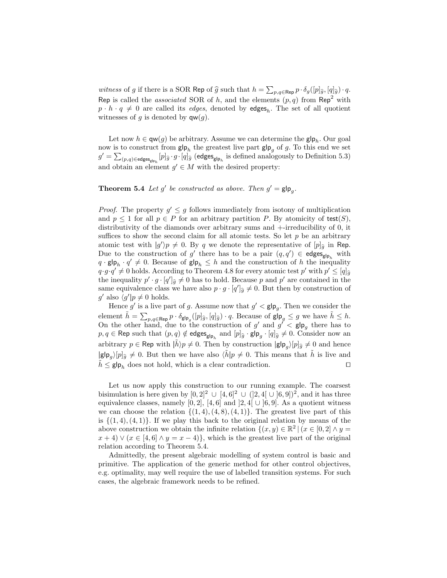witness of g if there is a SOR Rep of  $\hat{g}$  such that  $h = \sum_{p,q \in \text{Rep}} p \cdot \delta_g([p]_g, [q]_g) \cdot q$ . Rep is called the *associated* SOR of h, and the elements  $(p, q)$  from Rep<sup>2</sup> with  $p \cdot h \cdot q \neq 0$  are called its *edges*, denoted by **edges**<sub>h</sub>. The set of all quotient witnesses of g is denoted by  $qw(q)$ .

Let now  $h \in \mathsf{qw}(g)$  be arbitrary. Assume we can determine the  $\mathsf{glp}_h$ . Our goal now is to construct from  $\mathsf{glp}_h$  the greatest live part  $\mathsf{glp}_g$  of g. To this end we set  $g' = \sum_{(p,q) \in \mathsf{edges}_{\mathsf{glp}_h}} [p]_{\widehat{g}} \cdot g \cdot [q]_{\widehat{g}} \text{ (edges}_{\mathsf{glp}_h} \text{ is defined analogously to Definition 5.3)}$ and obtain an element  $g' \in M$  with the desired property:

**Theorem 5.4** Let  $g'$  be constructed as above. Then  $g' = g \mid p_g$ .

*Proof.* The property  $g' \leq g$  follows immediately from isotony of multiplication and  $p \leq 1$  for all  $p \in P$  for an arbitrary partition P. By atomicity of test(S), distributivity of the diamonds over arbitrary sums and +-irreducibility of 0, it suffices to show the second claim for all atomic tests. So let  $p$  be an arbitrary atomic test with  $|g'\rangle p \neq 0$ . By q we denote the representative of  $[p]_{\hat{g}}$  in Rep. Due to the construction of g' there has to be a pair  $(q, q') \in \text{edges}_{g|p_h}$  with  $q \cdot \mathsf{glp}_h \cdot q' \neq 0$ . Because of  $\mathsf{glp}_h \leq h$  and the construction of h the inequality  $q \cdot g \cdot q' \neq 0$  holds. According to Theorem 4.8 for every atomic test p' with  $p' \leq [q]_g$ the inequality  $p' \cdot g \cdot [q']_{\hat{g}} \neq 0$  has to hold. Because p and p' are contained in the same equivalence class we have also  $p \cdot g \cdot [q']_{\hat{g}} \neq 0$ . But then by construction of  $g'$  also  $\langle g'|p \neq 0$  holds.

Hence g' is a live part of g. Assume now that  $g' < g \mid \mathbf{p}_g$ . Then we consider the element  $\tilde{h} = \sum_{p,q \in \text{Rep}} p \cdot \delta_{\mathsf{g} \mid \mathsf{p}_q}([p]_{\hat{g}}, [q]_{\hat{g}}) \cdot q$ . Because of  $\mathsf{g} \mid \mathsf{p}_g \leq g$  we have  $\tilde{h} \leq h$ .<br>On the other hand, due to the construction of  $g'$  and  $g' < \mathsf{g} \mid \mathsf{p}_g$  there has to  $p, q \in \text{Rep such that } (p, q) \notin \text{edges}_{\text{glp}_h} \text{ and } [p]_{\widehat{g}} \cdot \text{glp}_g \cdot [q]_{\widehat{g}} \neq 0.$  Consider now an arbitrary  $p \in \text{Rep with } |\tilde{h}\rangle p \neq 0$ . Then by construction  $|\mathsf{glp}_g\rangle [p]_g \neq 0$  and hence  $|\mathbf{g}|\mathbf{p}_g\rangle[p]_g \neq 0$ . But then we have also  $\langle \tilde{h}|p \neq 0$ . This means that  $\tilde{h}$  is live and  $h \leq \mathsf{glp}_h$  does not hold, which is a clear contradiction.

Let us now apply this construction to our running example. The coarsest bisimulation is here given by  $[0,2]^2 \cup [4,6]^2 \cup (2,4[ \cup [6,9])^2$ , and it has three equivalence classes, namely [0, 2], [4, 6] and [2, 4]  $\cup$  [6, 9]. As a quotient witness we can choose the relation  $\{(1, 4), (4, 8), (4, 1)\}$ . The greatest live part of this is  $\{(1,4), (4,1)\}$ . If we play this back to the original relation by means of the above construction we obtain the infinite relation  $\{(x, y) \in \mathbb{R}^2 \mid (x \in [0, 2] \land y = 1\})$  $x + 4$ )  $\vee (x \in [4, 6] \wedge y = x - 4)$ , which is the greatest live part of the original relation according to Theorem 5.4.

Admittedly, the present algebraic modelling of system control is basic and primitive. The application of the generic method for other control objectives, e.g. optimality, may well require the use of labelled transition systems. For such cases, the algebraic framework needs to be refined.